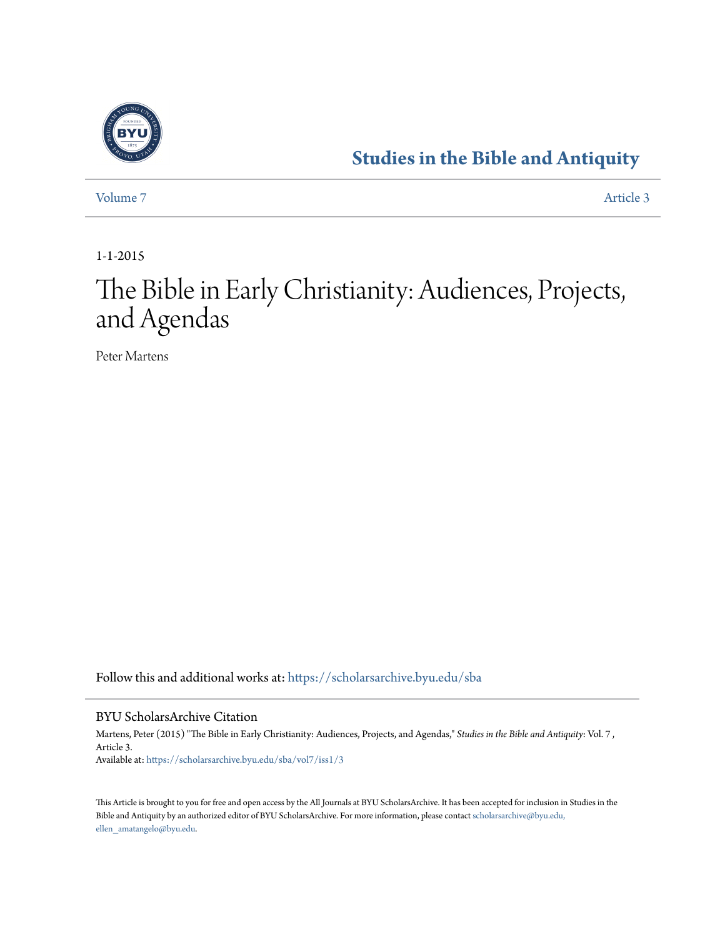

# **[Studies in the Bible and Antiquity](https://scholarsarchive.byu.edu/sba?utm_source=scholarsarchive.byu.edu%2Fsba%2Fvol7%2Fiss1%2F3&utm_medium=PDF&utm_campaign=PDFCoverPages)**

[Volume 7](https://scholarsarchive.byu.edu/sba/vol7?utm_source=scholarsarchive.byu.edu%2Fsba%2Fvol7%2Fiss1%2F3&utm_medium=PDF&utm_campaign=PDFCoverPages) [Article 3](https://scholarsarchive.byu.edu/sba/vol7/iss1/3?utm_source=scholarsarchive.byu.edu%2Fsba%2Fvol7%2Fiss1%2F3&utm_medium=PDF&utm_campaign=PDFCoverPages)

1-1-2015

# The Bible in Early Christianity: Audiences, Projects, and Agendas

Peter Martens

Follow this and additional works at: [https://scholarsarchive.byu.edu/sba](https://scholarsarchive.byu.edu/sba?utm_source=scholarsarchive.byu.edu%2Fsba%2Fvol7%2Fiss1%2F3&utm_medium=PDF&utm_campaign=PDFCoverPages)

#### BYU ScholarsArchive Citation

Martens, Peter (2015) "The Bible in Early Christianity: Audiences, Projects, and Agendas," *Studies in the Bible and Antiquity*: Vol. 7 , Article 3. Available at: [https://scholarsarchive.byu.edu/sba/vol7/iss1/3](https://scholarsarchive.byu.edu/sba/vol7/iss1/3?utm_source=scholarsarchive.byu.edu%2Fsba%2Fvol7%2Fiss1%2F3&utm_medium=PDF&utm_campaign=PDFCoverPages)

This Article is brought to you for free and open access by the All Journals at BYU ScholarsArchive. It has been accepted for inclusion in Studies in the Bible and Antiquity by an authorized editor of BYU ScholarsArchive. For more information, please contact [scholarsarchive@byu.edu,](mailto:scholarsarchive@byu.edu,%20ellen_amatangelo@byu.edu) [ellen\\_amatangelo@byu.edu.](mailto:scholarsarchive@byu.edu,%20ellen_amatangelo@byu.edu)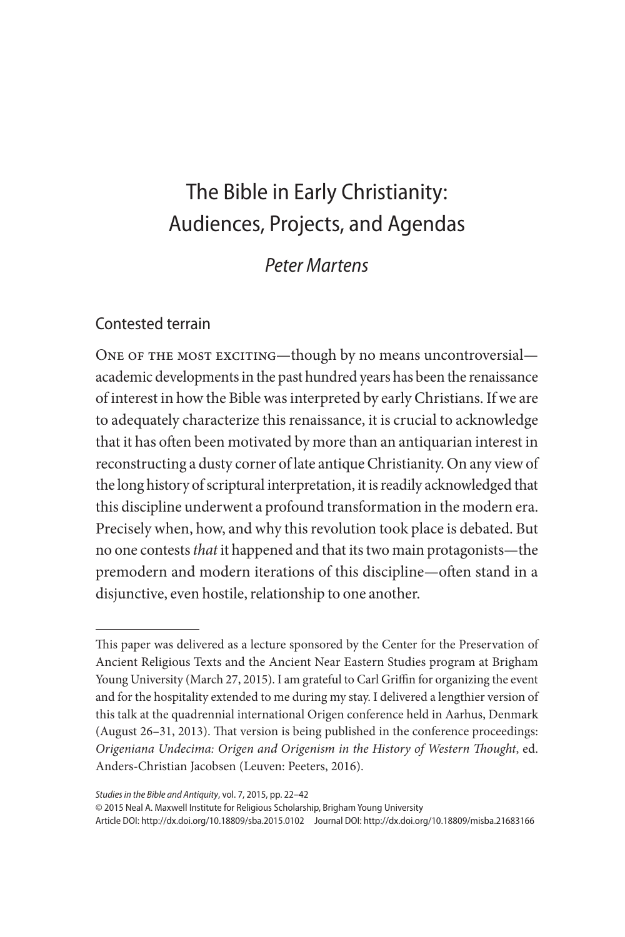# The Bible in Early Christianity: Audiences, Projects, and Agendas

# *Peter Martens*

### Contested terrain

ONE OF THE MOST EXCITING—though by no means uncontroversial academic developments in the past hundred years has been the renaissance of interest in how the Bible was interpreted by early Christians. If we are to adequately characterize this renaissance, it is crucial to acknowledge that it has often been motivated by more than an antiquarian interest in reconstructing a dusty corner of late antique Christianity. On any view of the long history of scriptural interpretation, it is readily acknowledged that this discipline underwent a profound transformation in the modern era. Precisely when, how, and why this revolution took place is debated. But no one contests *that* it happened and that its two main protagonists—the premodern and modern iterations of this discipline—often stand in a disjunctive, even hostile, relationship to one another.

© 2015 Neal A. Maxwell Institute for Religious Scholarship, Brigham Young University

Article DOI: http://dx.doi.org/10.18809/sba.2015.0102 Journal DOI: http://dx.doi.org/10.18809/misba.21683166

This paper was delivered as a lecture sponsored by the Center for the Preservation of Ancient Religious Texts and the Ancient Near Eastern Studies program at Brigham Young University (March 27, 2015). I am grateful to Carl Griffin for organizing the event and for the hospitality extended to me during my stay. I delivered a lengthier version of this talk at the quadrennial international Origen conference held in Aarhus, Denmark (August 26–31, 2013). That version is being published in the conference proceedings: *Origeniana Undecima: Origen and Origenism in the History of Western Thought*, ed. Anders-Christian Jacobsen (Leuven: Peeters, 2016).

*Studies in the Bible and Antiquity*, vol. 7, 2015, pp. 22–42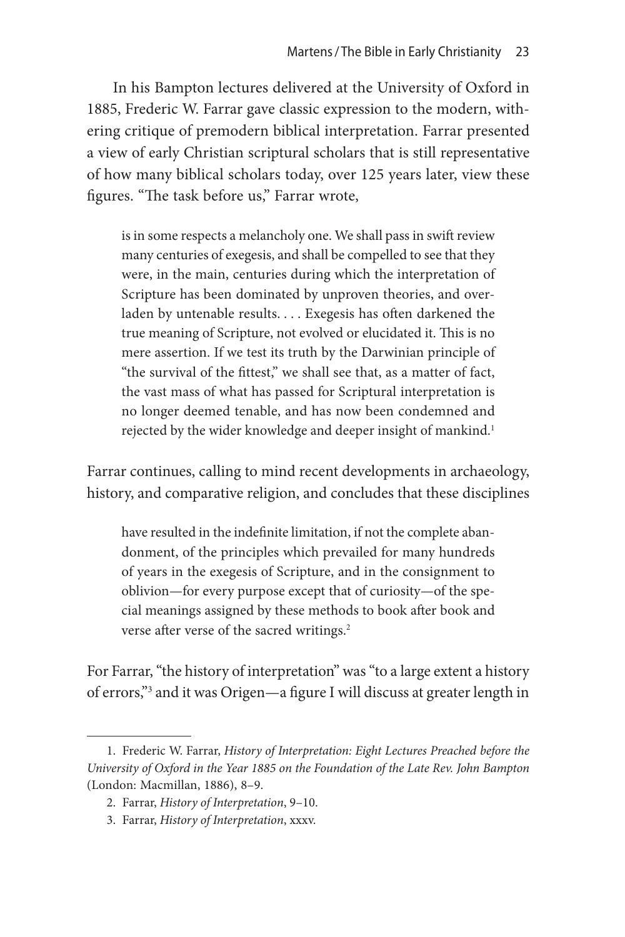In his Bampton lectures delivered at the University of Oxford in 1885, Frederic W. Farrar gave classic expression to the modern, withering critique of premodern biblical interpretation. Farrar presented a view of early Christian scriptural scholars that is still representative of how many biblical scholars today, over 125 years later, view these figures. "The task before us," Farrar wrote,

is in some respects a melancholy one. We shall pass in swift review many centuries of exegesis, and shall be compelled to see that they were, in the main, centuries during which the interpretation of Scripture has been dominated by unproven theories, and overladen by untenable results. . . . Exegesis has often darkened the true meaning of Scripture, not evolved or elucidated it. This is no mere assertion. If we test its truth by the Darwinian principle of "the survival of the fittest," we shall see that, as a matter of fact, the vast mass of what has passed for Scriptural interpretation is no longer deemed tenable, and has now been condemned and rejected by the wider knowledge and deeper insight of mankind.<sup>1</sup>

Farrar continues, calling to mind recent developments in archaeology, history, and comparative religion, and concludes that these disciplines

have resulted in the indefinite limitation, if not the complete abandonment, of the principles which prevailed for many hundreds of years in the exegesis of Scripture, and in the consignment to oblivion—for every purpose except that of curiosity—of the special meanings assigned by these methods to book after book and verse after verse of the sacred writings.<sup>2</sup>

For Farrar, "the history of interpretation" was "to a large extent a history of errors,"3 and it was Origen—a figure I will discuss at greater length in

<sup>1.</sup> Frederic W. Farrar, *History of Interpretation: Eight Lectures Preached before the University of Oxford in the Year 1885 on the Foundation of the Late Rev. John Bampton* (London: Macmillan, 1886), 8–9.

<sup>2.</sup> Farrar, *History of Interpretation*, 9–10.

<sup>3.</sup> Farrar, *History of Interpretation*, xxxv.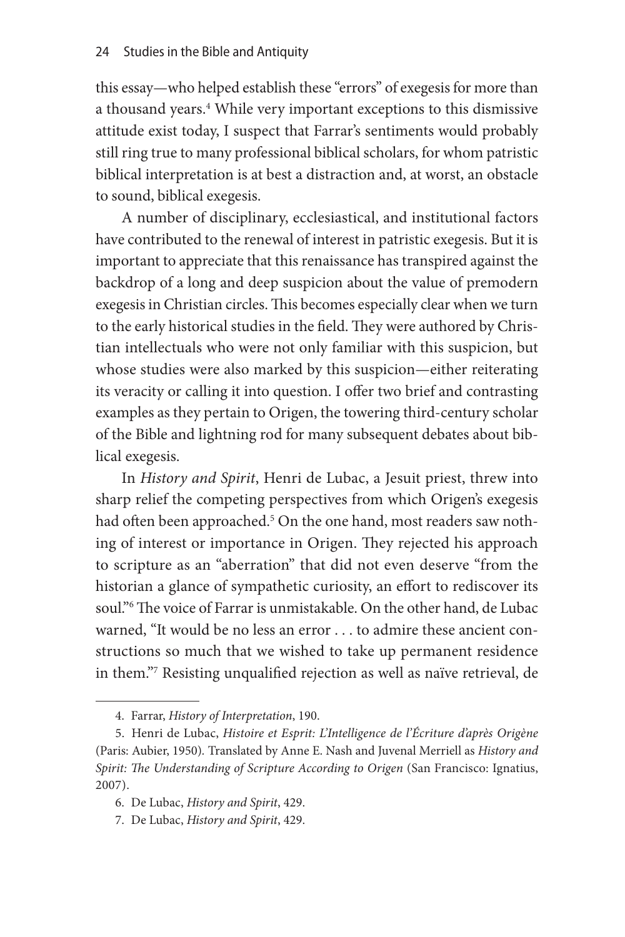this essay—who helped establish these "errors" of exegesis for more than a thousand years.<sup>4</sup> While very important exceptions to this dismissive attitude exist today, I suspect that Farrar's sentiments would probably still ring true to many professional biblical scholars, for whom patristic biblical interpretation is at best a distraction and, at worst, an obstacle to sound, biblical exegesis.

A number of disciplinary, ecclesiastical, and institutional factors have contributed to the renewal of interest in patristic exegesis. But it is important to appreciate that this renaissance has transpired against the backdrop of a long and deep suspicion about the value of premodern exegesis in Christian circles. This becomes especially clear when we turn to the early historical studies in the field. They were authored by Christian intellectuals who were not only familiar with this suspicion, but whose studies were also marked by this suspicion—either reiterating its veracity or calling it into question. I offer two brief and contrasting examples as they pertain to Origen, the towering third-century scholar of the Bible and lightning rod for many subsequent debates about biblical exegesis.

In *History and Spirit*, Henri de Lubac, a Jesuit priest, threw into sharp relief the competing perspectives from which Origen's exegesis had often been approached.<sup>5</sup> On the one hand, most readers saw nothing of interest or importance in Origen. They rejected his approach to scripture as an "aberration" that did not even deserve "from the historian a glance of sympathetic curiosity, an effort to rediscover its soul."6 The voice of Farrar is unmistakable. On the other hand, de Lubac warned, "It would be no less an error . . . to admire these ancient constructions so much that we wished to take up permanent residence in them."7 Resisting unqualified rejection as well as naïve retrieval, de

<sup>4.</sup> Farrar, *History of Interpretation*, 190.

<sup>5.</sup> Henri de Lubac, *Histoire et Esprit: L'Intelligence de l'Écriture d'après Origène* (Paris: Aubier, 1950)*.* Translated by Anne E. Nash and Juvenal Merriell as *History and Spirit: The Understanding of Scripture According to Origen* (San Francisco: Ignatius, 2007).

<sup>6.</sup> De Lubac, *History and Spirit*, 429.

<sup>7.</sup> De Lubac, *History and Spirit*, 429.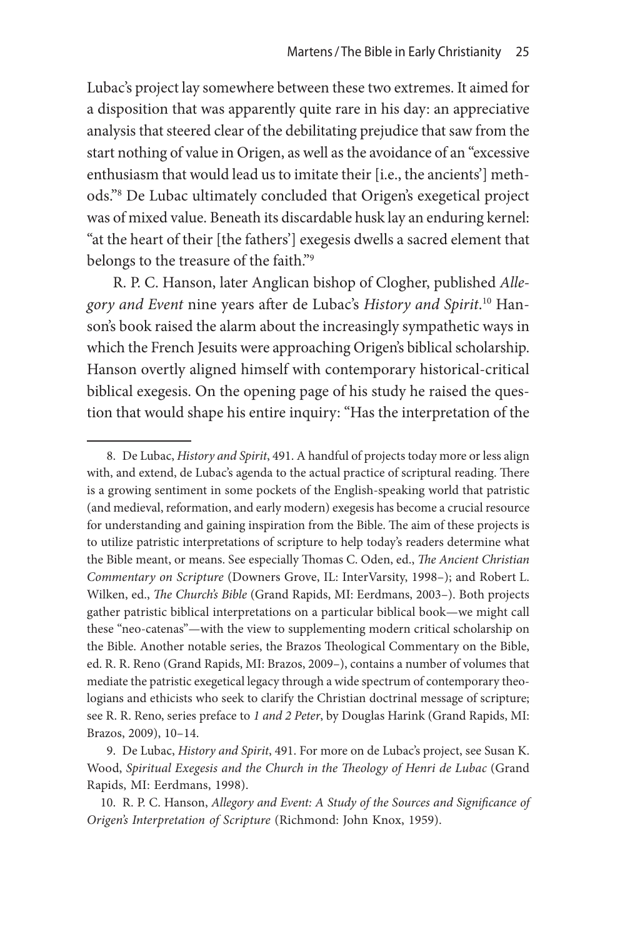Lubac's project lay somewhere between these two extremes. It aimed for a disposition that was apparently quite rare in his day: an appreciative analysis that steered clear of the debilitating prejudice that saw from the start nothing of value in Origen, as well as the avoidance of an "excessive enthusiasm that would lead us to imitate their [i.e., the ancients'] methods."8 De Lubac ultimately concluded that Origen's exegetical project was of mixed value. Beneath its discardable husk lay an enduring kernel: "at the heart of their [the fathers'] exegesis dwells a sacred element that belongs to the treasure of the faith."9

R. P. C. Hanson, later Anglican bishop of Clogher, published *Allegory and Event* nine years after de Lubac's *History and Spirit*. <sup>10</sup> Hanson's book raised the alarm about the increasingly sympathetic ways in which the French Jesuits were approaching Origen's biblical scholarship. Hanson overtly aligned himself with contemporary historical-critical biblical exegesis. On the opening page of his study he raised the question that would shape his entire inquiry: "Has the interpretation of the

<sup>8.</sup> De Lubac, *History and Spirit*, 491. A handful of projects today more or less align with, and extend, de Lubac's agenda to the actual practice of scriptural reading. There is a growing sentiment in some pockets of the English-speaking world that patristic (and medieval, reformation, and early modern) exegesis has become a crucial resource for understanding and gaining inspiration from the Bible. The aim of these projects is to utilize patristic interpretations of scripture to help today's readers determine what the Bible meant, or means. See especially Thomas C. Oden, ed., *The Ancient Christian Commentary on Scripture* (Downers Grove, IL: InterVarsity, 1998–); and Robert L. Wilken, ed., *The Church's Bible* (Grand Rapids, MI: Eerdmans, 2003–). Both projects gather patristic biblical interpretations on a particular biblical book—we might call these "neo-catenas"—with the view to supplementing modern critical scholarship on the Bible. Another notable series, the Brazos Theological Commentary on the Bible, ed. R. R. Reno (Grand Rapids, MI: Brazos, 2009–), contains a number of volumes that mediate the patristic exegetical legacy through a wide spectrum of contemporary theologians and ethicists who seek to clarify the Christian doctrinal message of scripture; see R. R. Reno, series preface to *1 and 2 Peter*, by Douglas Harink (Grand Rapids, MI: Brazos, 2009), 10–14.

<sup>9.</sup> De Lubac, *History and Spirit*, 491. For more on de Lubac's project, see Susan K. Wood, *Spiritual Exegesis and the Church in the Theology of Henri de Lubac* (Grand Rapids, MI: Eerdmans, 1998).

<sup>10.</sup> R. P. C. Hanson, *Allegory and Event: A Study of the Sources and Significance of Origen's Interpretation of Scripture* (Richmond: John Knox, 1959).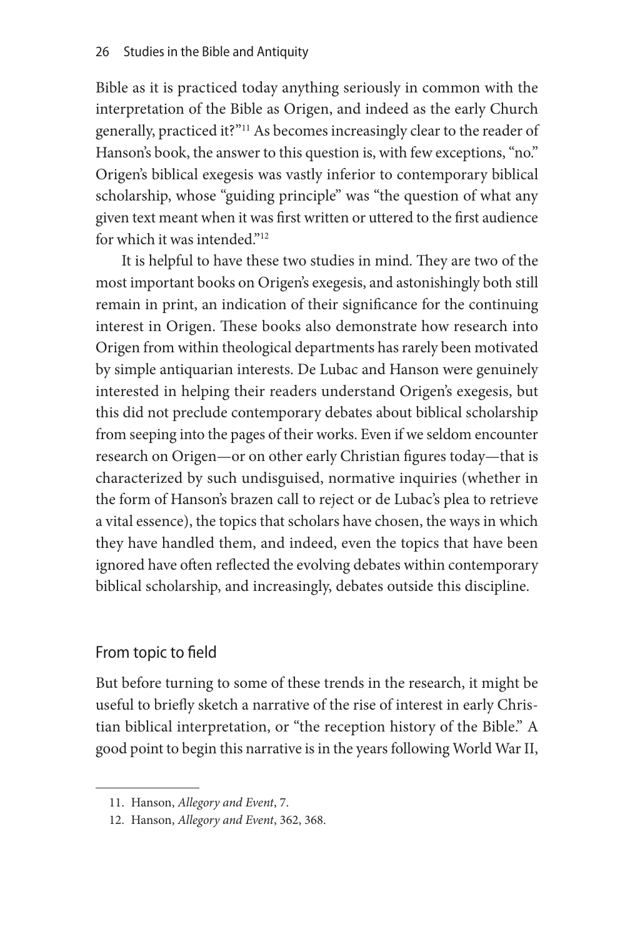Bible as it is practiced today anything seriously in common with the interpretation of the Bible as Origen, and indeed as the early Church generally, practiced it?"11 As becomes increasingly clear to the reader of Hanson's book, the answer to this question is, with few exceptions, "no." Origen's biblical exegesis was vastly inferior to contemporary biblical scholarship, whose "guiding principle" was "the question of what any given text meant when it was first written or uttered to the first audience for which it was intended."<sup>12</sup>

It is helpful to have these two studies in mind. They are two of the most important books on Origen's exegesis, and astonishingly both still remain in print, an indication of their significance for the continuing interest in Origen. These books also demonstrate how research into Origen from within theological departments has rarely been motivated by simple antiquarian interests. De Lubac and Hanson were genuinely interested in helping their readers understand Origen's exegesis, but this did not preclude contemporary debates about biblical scholarship from seeping into the pages of their works. Even if we seldom encounter research on Origen—or on other early Christian figures today—that is characterized by such undisguised, normative inquiries (whether in the form of Hanson's brazen call to reject or de Lubac's plea to retrieve a vital essence), the topics that scholars have chosen, the ways in which they have handled them, and indeed, even the topics that have been ignored have often reflected the evolving debates within contemporary biblical scholarship, and increasingly, debates outside this discipline.

## From topic to field

But before turning to some of these trends in the research, it might be useful to briefly sketch a narrative of the rise of interest in early Christian biblical interpretation, or "the reception history of the Bible." A good point to begin this narrative is in the years following World War II,

<sup>11.</sup> Hanson, *Allegory and Event*, 7.

<sup>12.</sup> Hanson, *Allegory and Event*, 362, 368.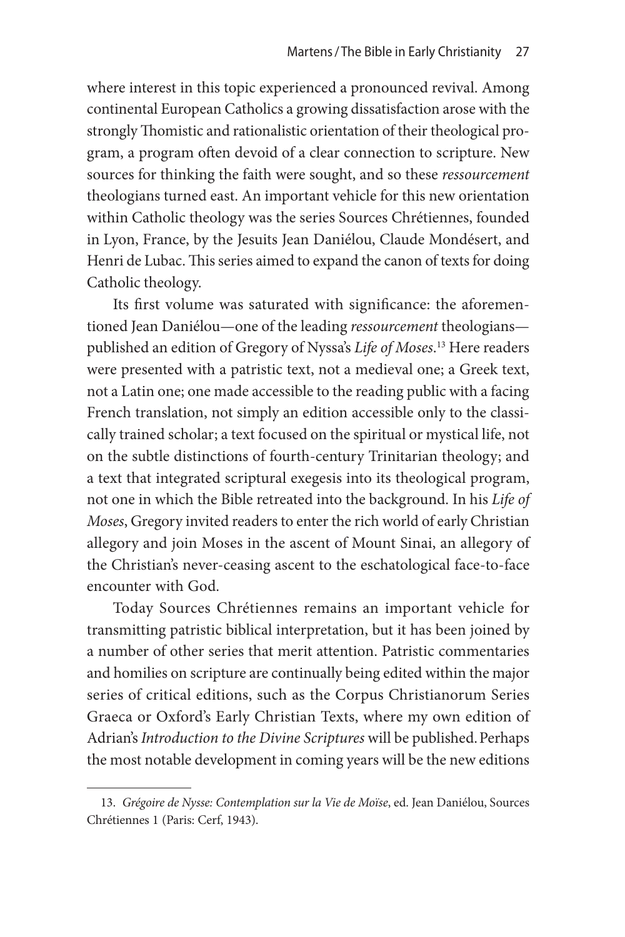where interest in this topic experienced a pronounced revival. Among continental European Catholics a growing dissatisfaction arose with the strongly Thomistic and rationalistic orientation of their theological program, a program often devoid of a clear connection to scripture. New sources for thinking the faith were sought, and so these *ressourcement*  theologians turned east. An important vehicle for this new orientation within Catholic theology was the series Sources Chrétiennes, founded in Lyon, France, by the Jesuits Jean Daniélou, Claude Mondésert, and Henri de Lubac. This series aimed to expand the canon of texts for doing Catholic theology.

Its first volume was saturated with significance: the aforementioned Jean Daniélou—one of the leading *ressourcement* theologians published an edition of Gregory of Nyssa's *Life of Moses*. 13 Here readers were presented with a patristic text, not a medieval one; a Greek text, not a Latin one; one made accessible to the reading public with a facing French translation, not simply an edition accessible only to the classically trained scholar; a text focused on the spiritual or mystical life, not on the subtle distinctions of fourth-century Trinitarian theology; and a text that integrated scriptural exegesis into its theological program, not one in which the Bible retreated into the background. In his *Life of Moses*, Gregory invited readers to enter the rich world of early Christian allegory and join Moses in the ascent of Mount Sinai, an allegory of the Christian's never-ceasing ascent to the eschatological face-to-face encounter with God.

Today Sources Chrétiennes remains an important vehicle for transmitting patristic biblical interpretation, but it has been joined by a number of other series that merit attention. Patristic commentaries and homilies on scripture are continually being edited within the major series of critical editions, such as the Corpus Christianorum Series Graeca or Oxford's Early Christian Texts, where my own edition of Adrian's *Introduction to the Divine Scriptures* will be published.Perhaps the most notable development in coming years will be the new editions

<sup>13.</sup> *Grégoire de Nysse: Contemplation sur la Vie de Moïse*, ed. Jean Daniélou, Sources Chrétiennes 1 (Paris: Cerf, 1943).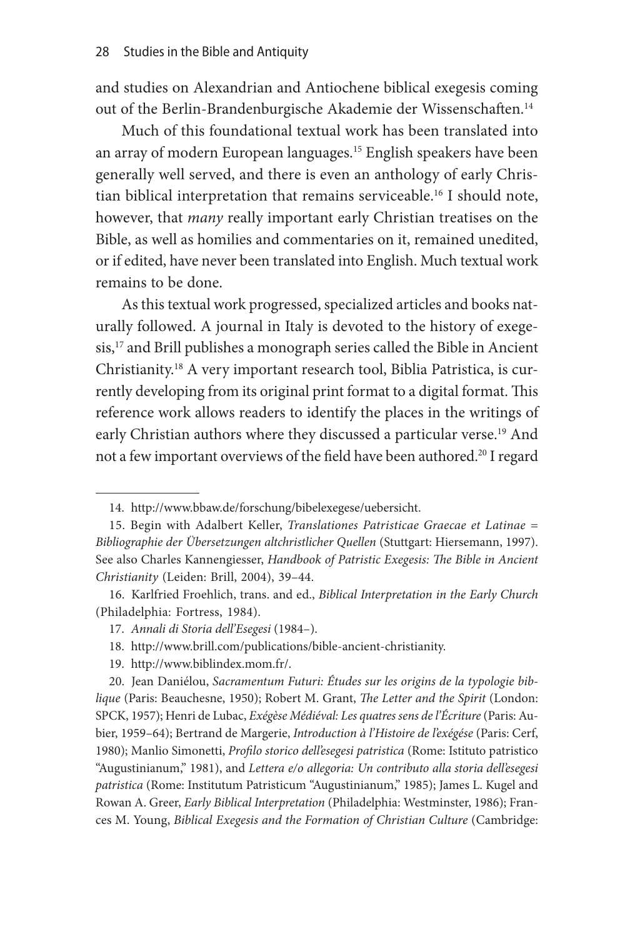and studies on Alexandrian and Antiochene biblical exegesis coming out of the Berlin-Brandenburgische Akademie der Wissenschaften.14

Much of this foundational textual work has been translated into an array of modern European languages.<sup>15</sup> English speakers have been generally well served, and there is even an anthology of early Christian biblical interpretation that remains serviceable.16 I should note, however, that *many* really important early Christian treatises on the Bible, as well as homilies and commentaries on it, remained unedited, or if edited, have never been translated into English. Much textual work remains to be done.

As this textual work progressed, specialized articles and books naturally followed. A journal in Italy is devoted to the history of exegesis,17 and Brill publishes a monograph series called the Bible in Ancient Christianity.18 A very important research tool, Biblia Patristica, is currently developing from its original print format to a digital format. This reference work allows readers to identify the places in the writings of early Christian authors where they discussed a particular verse.<sup>19</sup> And not a few important overviews of the field have been authored.20 I regard

19. http://www.biblindex.mom.fr/.

<sup>14.</sup> http://www.bbaw.de/forschung/bibelexegese/uebersicht.

<sup>15.</sup> Begin with Adalbert Keller, *Translationes Patristicae Graecae et Latinae = Bibliographie der Übersetzungen altchristlicher Quellen* (Stuttgart: Hiersemann, 1997). See also Charles Kannengiesser, *Handbook of Patristic Exegesis: The Bible in Ancient Christianity* (Leiden: Brill, 2004), 39–44.

<sup>16.</sup> Karlfried Froehlich, trans. and ed., *Biblical Interpretation in the Early Church* (Philadelphia: Fortress, 1984).

<sup>17.</sup> *Annali di Storia dell'Esegesi* (1984–).

<sup>18.</sup> http://www.brill.com/publications/bible-ancient-christianity.

<sup>20.</sup> Jean Daniélou, *Sacramentum Futuri: Études sur les origins de la typologie biblique* (Paris: Beauchesne, 1950); Robert M. Grant, *The Letter and the Spirit* (London: SPCK, 1957); Henri de Lubac, *Exégèse Médiéval: Les quatres sens de l'Écriture* (Paris: Aubier, 1959–64); Bertrand de Margerie, *Introduction à l'Histoire de l'exégése* (Paris: Cerf, 1980); Manlio Simonetti, *Profilo storico dell'esegesi patristica* (Rome: Istituto patristico "Augustinianum," 1981), and *Lettera e/o allegoria: Un contributo alla storia dell'esegesi patristica* (Rome: Institutum Patristicum "Augustinianum," 1985); James L. Kugel and Rowan A. Greer, *Early Biblical Interpretation* (Philadelphia: Westminster, 1986); Frances M. Young, *Biblical Exegesis and the Formation of Christian Culture* (Cambridge: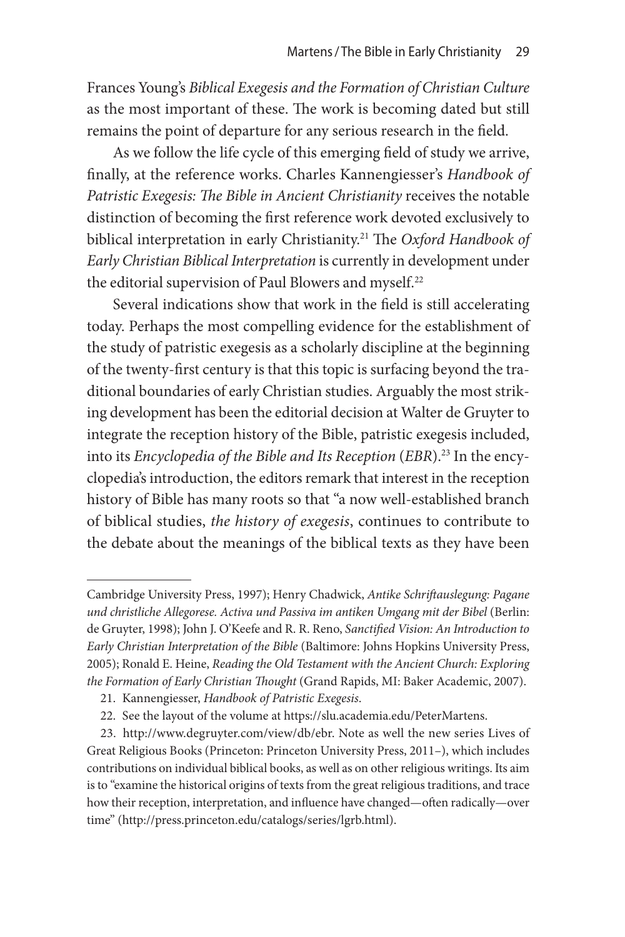Frances Young's *Biblical Exegesis and the Formation of Christian Culture*  as the most important of these. The work is becoming dated but still remains the point of departure for any serious research in the field.

As we follow the life cycle of this emerging field of study we arrive, finally, at the reference works. Charles Kannengiesser's *Handbook of Patristic Exegesis: The Bible in Ancient Christianity* receives the notable distinction of becoming the first reference work devoted exclusively to biblical interpretation in early Christianity.21 The *Oxford Handbook of Early Christian Biblical Interpretation* is currently in development under the editorial supervision of Paul Blowers and myself.<sup>22</sup>

Several indications show that work in the field is still accelerating today. Perhaps the most compelling evidence for the establishment of the study of patristic exegesis as a scholarly discipline at the beginning of the twenty-first century is that this topic is surfacing beyond the traditional boundaries of early Christian studies. Arguably the most striking development has been the editorial decision at Walter de Gruyter to integrate the reception history of the Bible, patristic exegesis included, into its *Encyclopedia of the Bible and Its Reception* (*EBR*).<sup>23</sup> In the encyclopedia's introduction, the editors remark that interest in the reception history of Bible has many roots so that "a now well-established branch of biblical studies, *the history of exegesis*, continues to contribute to the debate about the meanings of the biblical texts as they have been

Cambridge University Press, 1997); Henry Chadwick, *Antike Schriftauslegung: Pagane und christliche Allegorese. Activa und Passiva im antiken Umgang mit der Bibel* (Berlin: de Gruyter, 1998); John J. O'Keefe and R. R. Reno, *Sanctified Vision: An Introduction to Early Christian Interpretation of the Bible* (Baltimore: Johns Hopkins University Press, 2005); Ronald E. Heine, *Reading the Old Testament with the Ancient Church: Exploring the Formation of Early Christian Thought* (Grand Rapids, MI: Baker Academic, 2007).

<sup>21.</sup> Kannengiesser, *Handbook of Patristic Exegesis*.

<sup>22.</sup> See the layout of the volume at https://slu.academia.edu/PeterMartens.

<sup>23.</sup> http://www.degruyter.com/view/db/ebr. Note as well the new series Lives of Great Religious Books (Princeton: Princeton University Press, 2011–), which includes contributions on individual biblical books, as well as on other religious writings. Its aim is to "examine the historical origins of texts from the great religious traditions, and trace how their reception, interpretation, and influence have changed—often radically—over time" (http://press.princeton.edu/catalogs/series/lgrb.html).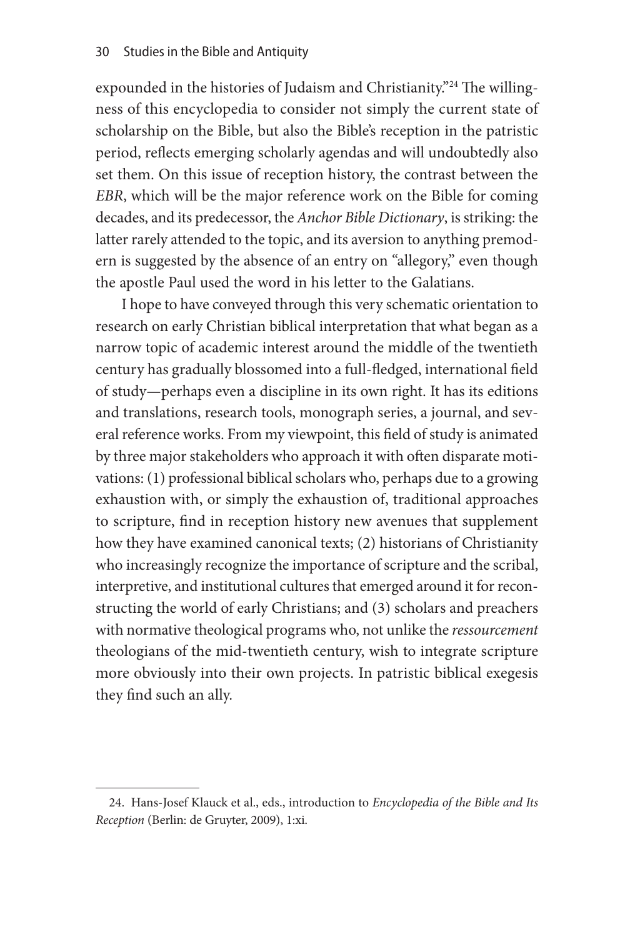expounded in the histories of Judaism and Christianity."<sup>24</sup> The willingness of this encyclopedia to consider not simply the current state of scholarship on the Bible, but also the Bible's reception in the patristic period, reflects emerging scholarly agendas and will undoubtedly also set them. On this issue of reception history, the contrast between the *EBR*, which will be the major reference work on the Bible for coming decades, and its predecessor, the *Anchor Bible Dictionary*, is striking: the latter rarely attended to the topic, and its aversion to anything premodern is suggested by the absence of an entry on "allegory," even though the apostle Paul used the word in his letter to the Galatians.

I hope to have conveyed through this very schematic orientation to research on early Christian biblical interpretation that what began as a narrow topic of academic interest around the middle of the twentieth century has gradually blossomed into a full-fledged, international field of study—perhaps even a discipline in its own right. It has its editions and translations, research tools, monograph series, a journal, and several reference works. From my viewpoint, this field of study is animated by three major stakeholders who approach it with often disparate motivations: (1) professional biblical scholars who, perhaps due to a growing exhaustion with, or simply the exhaustion of, traditional approaches to scripture, find in reception history new avenues that supplement how they have examined canonical texts; (2) historians of Christianity who increasingly recognize the importance of scripture and the scribal, interpretive, and institutional cultures that emerged around it for reconstructing the world of early Christians; and (3) scholars and preachers with normative theological programs who, not unlike the *ressourcement* theologians of the mid-twentieth century, wish to integrate scripture more obviously into their own projects. In patristic biblical exegesis they find such an ally.

<sup>24.</sup> Hans-Josef Klauck et al., eds., introduction to *Encyclopedia of the Bible and Its Reception* (Berlin: de Gruyter, 2009), 1:xi.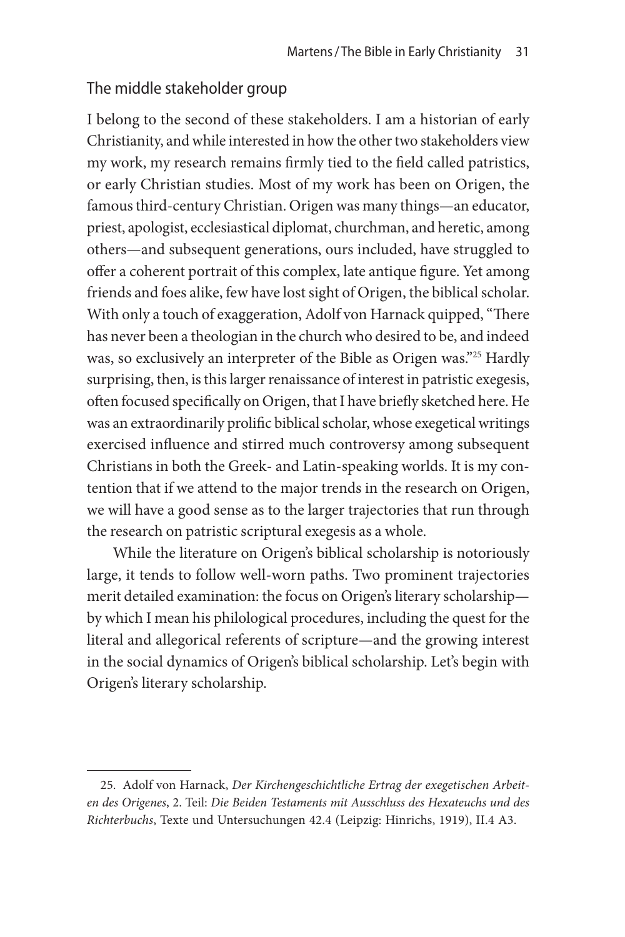### The middle stakeholder group

I belong to the second of these stakeholders. I am a historian of early Christianity, and while interested in how the other two stakeholders view my work, my research remains firmly tied to the field called patristics, or early Christian studies. Most of my work has been on Origen, the famous third-century Christian. Origen was many things—an educator, priest, apologist, ecclesiastical diplomat, churchman, and heretic, among others—and subsequent generations, ours included, have struggled to offer a coherent portrait of this complex, late antique figure. Yet among friends and foes alike, few have lost sight of Origen, the biblical scholar. With only a touch of exaggeration, Adolf von Harnack quipped, "There has never been a theologian in the church who desired to be, and indeed was, so exclusively an interpreter of the Bible as Origen was."25 Hardly surprising, then, is this larger renaissance of interest in patristic exegesis, often focused specifically on Origen, that I have briefly sketched here. He was an extraordinarily prolific biblical scholar, whose exegetical writings exercised influence and stirred much controversy among subsequent Christians in both the Greek- and Latin-speaking worlds. It is my contention that if we attend to the major trends in the research on Origen, we will have a good sense as to the larger trajectories that run through the research on patristic scriptural exegesis as a whole.

While the literature on Origen's biblical scholarship is notoriously large, it tends to follow well-worn paths. Two prominent trajectories merit detailed examination: the focus on Origen's literary scholarship by which I mean his philological procedures, including the quest for the literal and allegorical referents of scripture—and the growing interest in the social dynamics of Origen's biblical scholarship. Let's begin with Origen's literary scholarship.

<sup>25.</sup> Adolf von Harnack, *Der Kirchengeschichtliche Ertrag der exegetischen Arbeiten des Origenes*, 2. Teil: *Die Beiden Testaments mit Ausschluss des Hexateuchs und des Richterbuchs*, Texte und Untersuchungen 42.4 (Leipzig: Hinrichs, 1919), II.4 A3.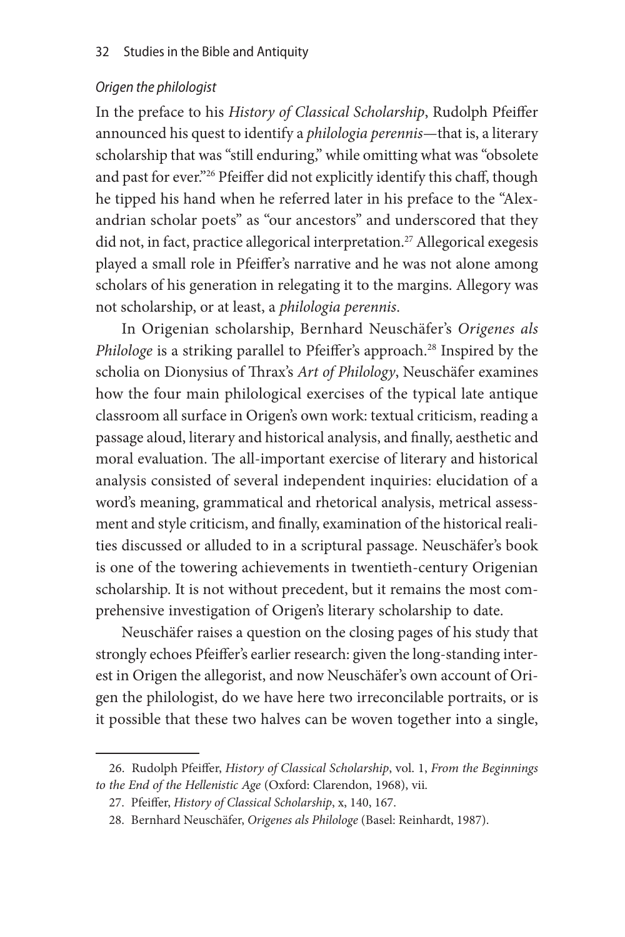#### *Origen the philologist*

In the preface to his *History of Classical Scholarship*, Rudolph Pfeiffer announced his quest to identify a *philologia perennis—*that is, a literary scholarship that was "still enduring," while omitting what was "obsolete and past for ever."<sup>26</sup> Pfeiffer did not explicitly identify this chaff, though he tipped his hand when he referred later in his preface to the "Alexandrian scholar poets" as "our ancestors" and underscored that they did not, in fact, practice allegorical interpretation.<sup>27</sup> Allegorical exegesis played a small role in Pfeiffer's narrative and he was not alone among scholars of his generation in relegating it to the margins. Allegory was not scholarship, or at least, a *philologia perennis*.

In Origenian scholarship, Bernhard Neuschäfer's *Origenes als Philologe* is a striking parallel to Pfeiffer's approach.<sup>28</sup> Inspired by the scholia on Dionysius of Thrax's *Art of Philology*, Neuschäfer examines how the four main philological exercises of the typical late antique classroom all surface in Origen's own work: textual criticism, reading a passage aloud, literary and historical analysis, and finally, aesthetic and moral evaluation. The all-important exercise of literary and historical analysis consisted of several independent inquiries: elucidation of a word's meaning, grammatical and rhetorical analysis, metrical assessment and style criticism, and finally, examination of the historical realities discussed or alluded to in a scriptural passage. Neuschäfer's book is one of the towering achievements in twentieth-century Origenian scholarship. It is not without precedent, but it remains the most comprehensive investigation of Origen's literary scholarship to date.

Neuschäfer raises a question on the closing pages of his study that strongly echoes Pfeiffer's earlier research: given the long-standing interest in Origen the allegorist, and now Neuschäfer's own account of Origen the philologist, do we have here two irreconcilable portraits, or is it possible that these two halves can be woven together into a single,

<sup>26.</sup> Rudolph Pfeiffer, *History of Classical Scholarship*, vol. 1, *From the Beginnings to the End of the Hellenistic Age* (Oxford: Clarendon, 1968), vii.

<sup>27.</sup> Pfeiffer, *History of Classical Scholarship*, x, 140, 167.

<sup>28.</sup> Bernhard Neuschäfer, *Origenes als Philologe* (Basel: Reinhardt, 1987).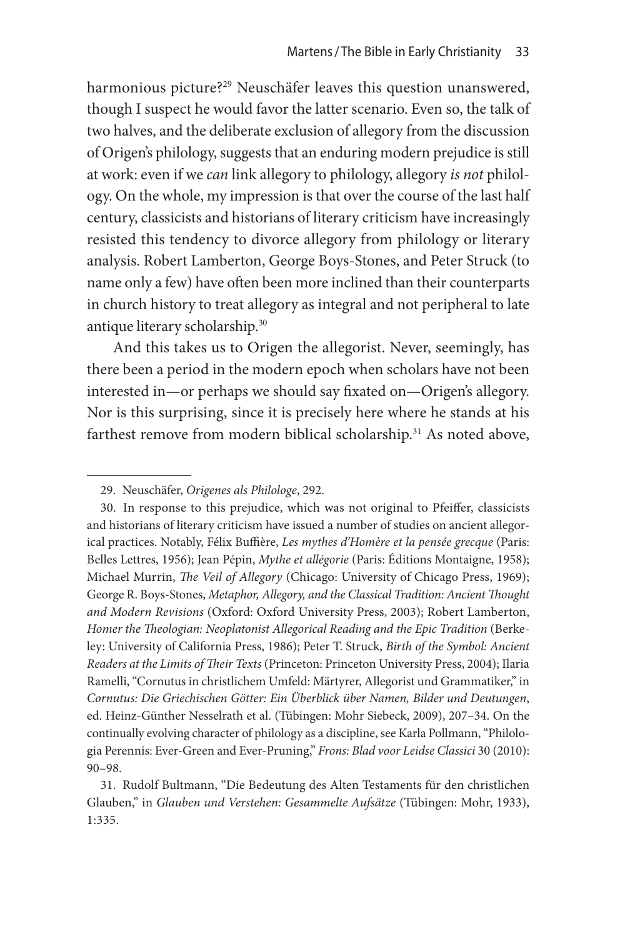harmonious picture?<sup>29</sup> Neuschäfer leaves this question unanswered, though I suspect he would favor the latter scenario. Even so, the talk of two halves, and the deliberate exclusion of allegory from the discussion of Origen's philology, suggests that an enduring modern prejudice is still at work: even if we *can* link allegory to philology, allegory *is not* philology. On the whole, my impression is that over the course of the last half century, classicists and historians of literary criticism have increasingly resisted this tendency to divorce allegory from philology or literary analysis. Robert Lamberton, George Boys-Stones, and Peter Struck (to name only a few) have often been more inclined than their counterparts in church history to treat allegory as integral and not peripheral to late antique literary scholarship.<sup>30</sup>

And this takes us to Origen the allegorist. Never, seemingly, has there been a period in the modern epoch when scholars have not been interested in—or perhaps we should say fixated on—Origen's allegory. Nor is this surprising, since it is precisely here where he stands at his farthest remove from modern biblical scholarship.<sup>31</sup> As noted above,

<sup>29.</sup> Neuschäfer, *Origenes als Philologe*, 292.

<sup>30.</sup> In response to this prejudice, which was not original to Pfeiffer, classicists and historians of literary criticism have issued a number of studies on ancient allegorical practices. Notably, Félix Buffière, *Les mythes d'Homère et la pensée grecque* (Paris: Belles Lettres, 1956); Jean Pépin, *Mythe et allégorie* (Paris: Éditions Montaigne, 1958); Michael Murrin, *The Veil of Allegory* (Chicago: University of Chicago Press, 1969); George R. Boys-Stones, *Metaphor, Allegory, and the Classical Tradition: Ancient Thought and Modern Revisions* (Oxford: Oxford University Press, 2003); Robert Lamberton, *Homer the Theologian: Neoplatonist Allegorical Reading and the Epic Tradition* (Berkeley: University of California Press, 1986); Peter T. Struck, *Birth of the Symbol: Ancient Readers at the Limits of Their Texts* (Princeton: Princeton University Press, 2004); Ilaria Ramelli, "Cornutus in christlichem Umfeld: Märtyrer, Allegorist und Grammatiker," in *Cornutus: Die Griechischen Götter: Ein Überblick über Namen, Bilder und Deutungen*, ed. Heinz-Günther Nesselrath et al. (Tübingen: Mohr Siebeck, 2009), 207–34. On the continually evolving character of philology as a discipline, see Karla Pollmann, "Philologia Perennis: Ever-Green and Ever-Pruning," *Frons: Blad voor Leidse Classici* 30 (2010): 90–98.

<sup>31.</sup> Rudolf Bultmann, "Die Bedeutung des Alten Testaments für den christlichen Glauben," in *Glauben und Verstehen: Gesammelte Aufsätze* (Tübingen: Mohr, 1933), 1:335.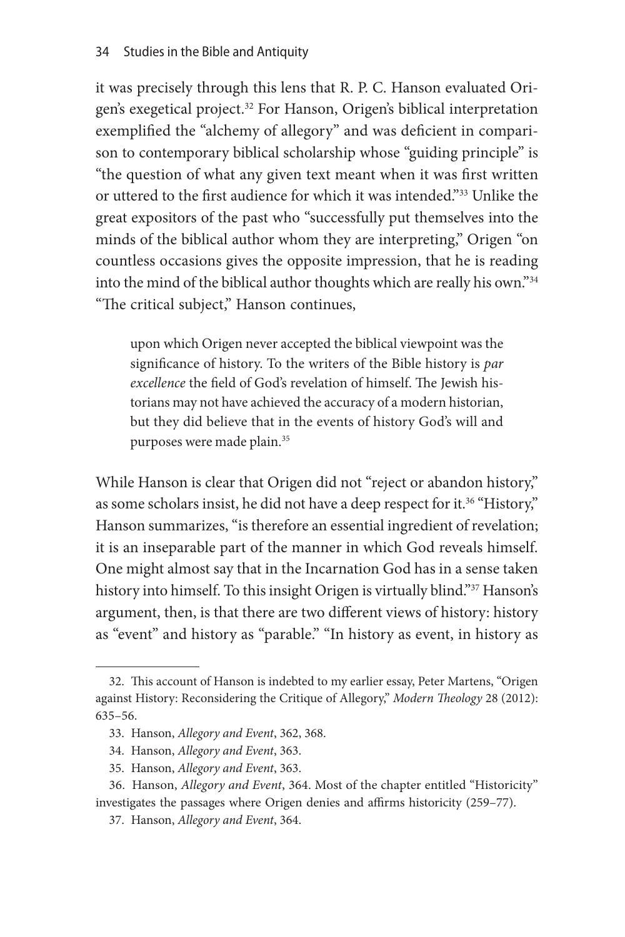it was precisely through this lens that R. P. C. Hanson evaluated Origen's exegetical project.<sup>32</sup> For Hanson, Origen's biblical interpretation exemplified the "alchemy of allegory" and was deficient in comparison to contemporary biblical scholarship whose "guiding principle" is "the question of what any given text meant when it was first written or uttered to the first audience for which it was intended."33 Unlike the great expositors of the past who "successfully put themselves into the minds of the biblical author whom they are interpreting," Origen "on countless occasions gives the opposite impression, that he is reading into the mind of the biblical author thoughts which are really his own."34 "The critical subject," Hanson continues,

upon which Origen never accepted the biblical viewpoint was the significance of history. To the writers of the Bible history is *par excellence* the field of God's revelation of himself. The Jewish historians may not have achieved the accuracy of a modern historian, but they did believe that in the events of history God's will and purposes were made plain.<sup>35</sup>

While Hanson is clear that Origen did not "reject or abandon history," as some scholars insist, he did not have a deep respect for it.<sup>36</sup> "History," Hanson summarizes, "is therefore an essential ingredient of revelation; it is an inseparable part of the manner in which God reveals himself. One might almost say that in the Incarnation God has in a sense taken history into himself. To this insight Origen is virtually blind."<sup>37</sup> Hanson's argument, then, is that there are two different views of history: history as "event" and history as "parable." "In history as event, in history as

<sup>32.</sup> This account of Hanson is indebted to my earlier essay, Peter Martens, "Origen against History: Reconsidering the Critique of Allegory," *Modern Theology* 28 (2012): 635–56.

<sup>33.</sup> Hanson, *Allegory and Event*, 362, 368.

<sup>34.</sup> Hanson, *Allegory and Event*, 363.

<sup>35.</sup> Hanson, *Allegory and Event*, 363.

<sup>36.</sup> Hanson, *Allegory and Event*, 364. Most of the chapter entitled "Historicity" investigates the passages where Origen denies and affirms historicity (259–77).

<sup>37.</sup> Hanson, *Allegory and Event*, 364.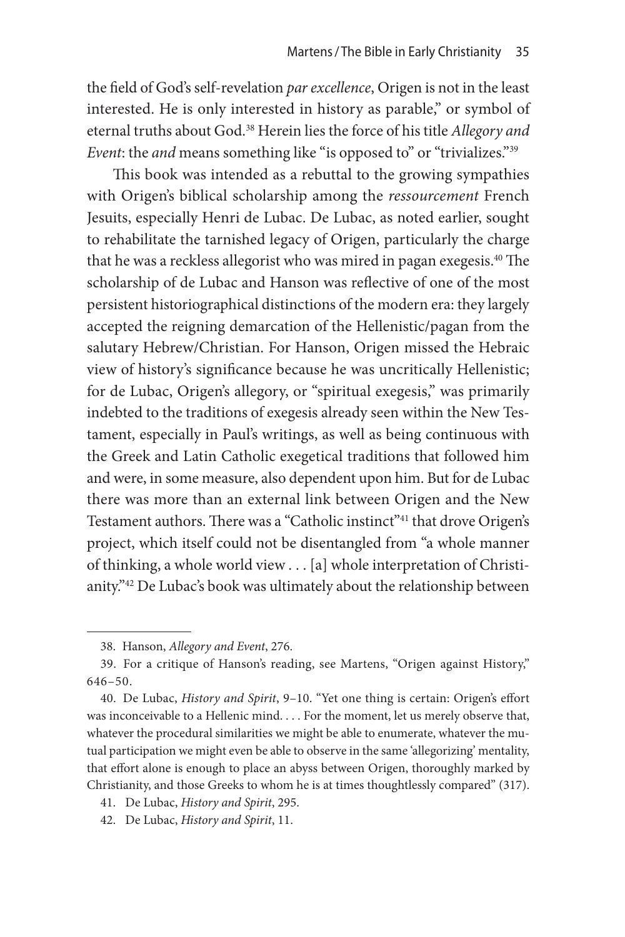the field of God's self-revelation *par excellence*, Origen is not in the least interested. He is only interested in history as parable," or symbol of eternal truths about God.38 Herein lies the force of his title *Allegory and Event*: the *and* means something like "is opposed to" or "trivializes."<sup>39</sup>

This book was intended as a rebuttal to the growing sympathies with Origen's biblical scholarship among the *ressourcement* French Jesuits, especially Henri de Lubac. De Lubac, as noted earlier, sought to rehabilitate the tarnished legacy of Origen, particularly the charge that he was a reckless allegorist who was mired in pagan exegesis.<sup>40</sup> The scholarship of de Lubac and Hanson was reflective of one of the most persistent historiographical distinctions of the modern era: they largely accepted the reigning demarcation of the Hellenistic/pagan from the salutary Hebrew/Christian. For Hanson, Origen missed the Hebraic view of history's significance because he was uncritically Hellenistic; for de Lubac, Origen's allegory, or "spiritual exegesis," was primarily indebted to the traditions of exegesis already seen within the New Testament, especially in Paul's writings, as well as being continuous with the Greek and Latin Catholic exegetical traditions that followed him and were, in some measure, also dependent upon him. But for de Lubac there was more than an external link between Origen and the New Testament authors. There was a "Catholic instinct"<sup>41</sup> that drove Origen's project, which itself could not be disentangled from "a whole manner of thinking, a whole world view . . . [a] whole interpretation of Christianity."42 De Lubac's book was ultimately about the relationship between

<sup>38.</sup> Hanson, *Allegory and Event*, 276.

<sup>39.</sup> For a critique of Hanson's reading, see Martens, "Origen against History," 646–50.

<sup>40.</sup> De Lubac, *History and Spirit*, 9–10. "Yet one thing is certain: Origen's effort was inconceivable to a Hellenic mind. . . . For the moment, let us merely observe that, whatever the procedural similarities we might be able to enumerate, whatever the mutual participation we might even be able to observe in the same 'allegorizing' mentality, that effort alone is enough to place an abyss between Origen, thoroughly marked by Christianity, and those Greeks to whom he is at times thoughtlessly compared" (317).

<sup>41.</sup> De Lubac, *History and Spirit*, 295.

<sup>42.</sup> De Lubac, *History and Spirit*, 11.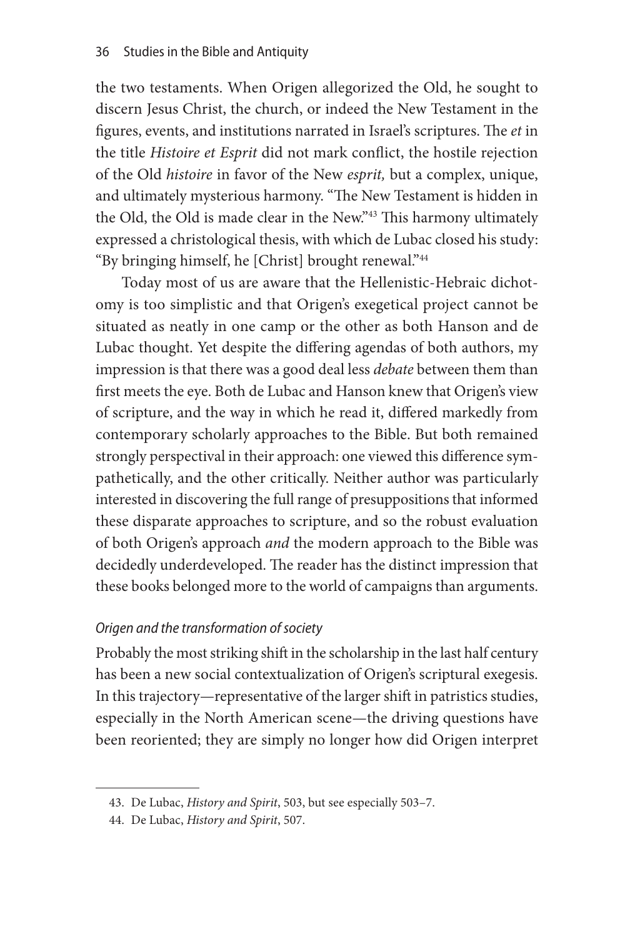the two testaments. When Origen allegorized the Old, he sought to discern Jesus Christ, the church, or indeed the New Testament in the figures, events, and institutions narrated in Israel's scriptures. The *et* in the title *Histoire et Esprit* did not mark conflict, the hostile rejection of the Old *histoire* in favor of the New *esprit,* but a complex, unique, and ultimately mysterious harmony. "The New Testament is hidden in the Old, the Old is made clear in the New."<sup>43</sup> This harmony ultimately expressed a christological thesis, with which de Lubac closed his study: "By bringing himself, he [Christ] brought renewal."44

Today most of us are aware that the Hellenistic-Hebraic dichotomy is too simplistic and that Origen's exegetical project cannot be situated as neatly in one camp or the other as both Hanson and de Lubac thought. Yet despite the differing agendas of both authors, my impression is that there was a good deal less *debate* between them than first meets the eye. Both de Lubac and Hanson knew that Origen's view of scripture, and the way in which he read it, differed markedly from contemporary scholarly approaches to the Bible. But both remained strongly perspectival in their approach: one viewed this difference sympathetically, and the other critically. Neither author was particularly interested in discovering the full range of presuppositions that informed these disparate approaches to scripture, and so the robust evaluation of both Origen's approach *and* the modern approach to the Bible was decidedly underdeveloped. The reader has the distinct impression that these books belonged more to the world of campaigns than arguments.

#### *Origen and the transformation of society*

Probably the most striking shift in the scholarship in the last half century has been a new social contextualization of Origen's scriptural exegesis. In this trajectory—representative of the larger shift in patristics studies, especially in the North American scene—the driving questions have been reoriented; they are simply no longer how did Origen interpret

<sup>43.</sup> De Lubac, *History and Spirit*, 503, but see especially 503–7.

<sup>44.</sup> De Lubac, *History and Spirit*, 507.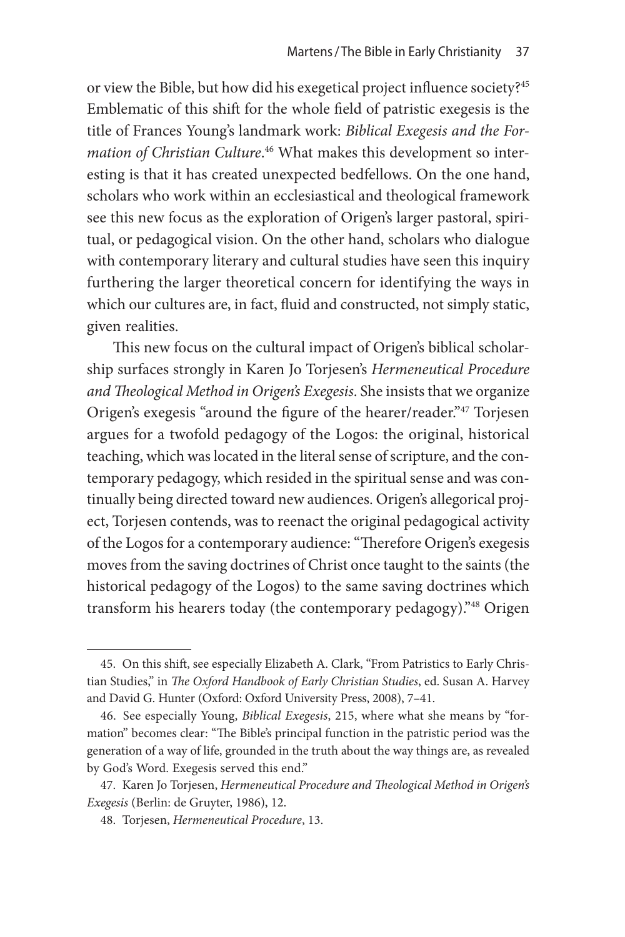or view the Bible, but how did his exegetical project influence society?45 Emblematic of this shift for the whole field of patristic exegesis is the title of Frances Young's landmark work: *Biblical Exegesis and the Formation of Christian Culture*. 46 What makes this development so interesting is that it has created unexpected bedfellows. On the one hand, scholars who work within an ecclesiastical and theological framework see this new focus as the exploration of Origen's larger pastoral, spiritual, or pedagogical vision. On the other hand, scholars who dialogue with contemporary literary and cultural studies have seen this inquiry furthering the larger theoretical concern for identifying the ways in which our cultures are, in fact, fluid and constructed, not simply static, given realities.

This new focus on the cultural impact of Origen's biblical scholarship surfaces strongly in Karen Jo Torjesen's *Hermeneutical Procedure and Theological Method in Origen's Exegesis*. She insists that we organize Origen's exegesis "around the figure of the hearer/reader."47 Torjesen argues for a twofold pedagogy of the Logos: the original, historical teaching, which was located in the literal sense of scripture, and the contemporary pedagogy, which resided in the spiritual sense and was continually being directed toward new audiences. Origen's allegorical project, Torjesen contends, was to reenact the original pedagogical activity of the Logos for a contemporary audience: "Therefore Origen's exegesis moves from the saving doctrines of Christ once taught to the saints (the historical pedagogy of the Logos) to the same saving doctrines which transform his hearers today (the contemporary pedagogy)."48 Origen

<sup>45.</sup> On this shift, see especially Elizabeth A. Clark, "From Patristics to Early Christian Studies," in *The Oxford Handbook of Early Christian Studies*, ed. Susan A. Harvey and David G. Hunter (Oxford: Oxford University Press, 2008), 7–41.

<sup>46.</sup> See especially Young, *Biblical Exegesis*, 215, where what she means by "formation" becomes clear: "The Bible's principal function in the patristic period was the generation of a way of life, grounded in the truth about the way things are, as revealed by God's Word. Exegesis served this end."

<sup>47.</sup> Karen Jo Torjesen, *Hermeneutical Procedure and Theological Method in Origen's Exegesis* (Berlin: de Gruyter, 1986), 12.

<sup>48.</sup> Torjesen, *Hermeneutical Procedure*, 13.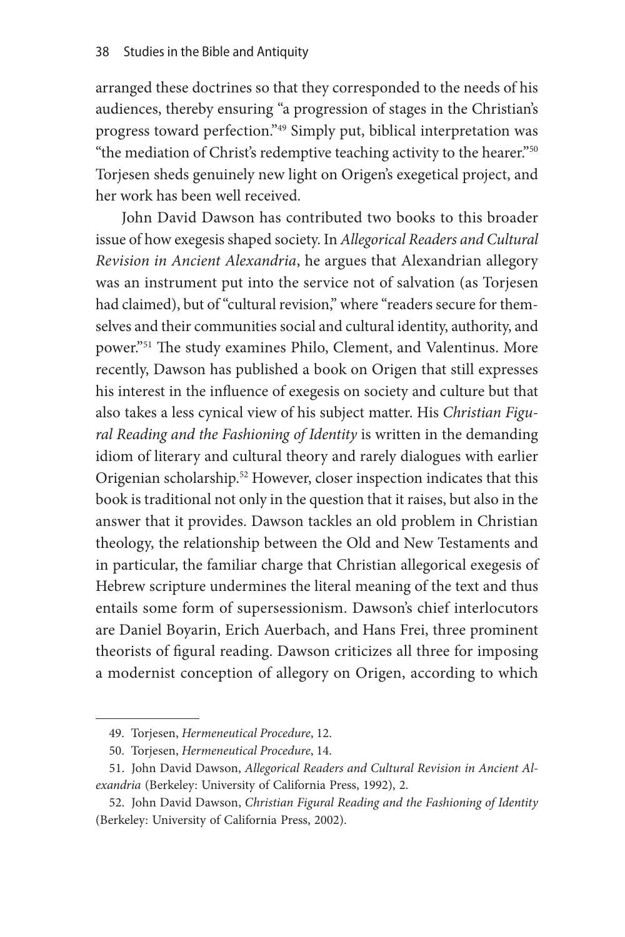arranged these doctrines so that they corresponded to the needs of his audiences, thereby ensuring "a progression of stages in the Christian's progress toward perfection."49 Simply put, biblical interpretation was "the mediation of Christ's redemptive teaching activity to the hearer."50 Torjesen sheds genuinely new light on Origen's exegetical project, and her work has been well received.

John David Dawson has contributed two books to this broader issue of how exegesis shaped society. In *Allegorical Readers and Cultural Revision in Ancient Alexandria*, he argues that Alexandrian allegory was an instrument put into the service not of salvation (as Torjesen had claimed), but of "cultural revision," where "readers secure for themselves and their communities social and cultural identity, authority, and power."51 The study examines Philo, Clement, and Valentinus. More recently, Dawson has published a book on Origen that still expresses his interest in the influence of exegesis on society and culture but that also takes a less cynical view of his subject matter. His *Christian Figural Reading and the Fashioning of Identity* is written in the demanding idiom of literary and cultural theory and rarely dialogues with earlier Origenian scholarship.52 However, closer inspection indicates that this book is traditional not only in the question that it raises, but also in the answer that it provides. Dawson tackles an old problem in Christian theology, the relationship between the Old and New Testaments and in particular, the familiar charge that Christian allegorical exegesis of Hebrew scripture undermines the literal meaning of the text and thus entails some form of supersessionism. Dawson's chief interlocutors are Daniel Boyarin, Erich Auerbach, and Hans Frei, three prominent theorists of figural reading. Dawson criticizes all three for imposing a modernist conception of allegory on Origen, according to which

<sup>49.</sup> Torjesen, *Hermeneutical Procedure*, 12.

<sup>50.</sup> Torjesen, *Hermeneutical Procedure*, 14.

<sup>51.</sup> John David Dawson, *Allegorical Readers and Cultural Revision in Ancient Alexandria* (Berkeley: University of California Press, 1992), 2.

<sup>52.</sup> John David Dawson, *Christian Figural Reading and the Fashioning of Identity*  (Berkeley: University of California Press, 2002).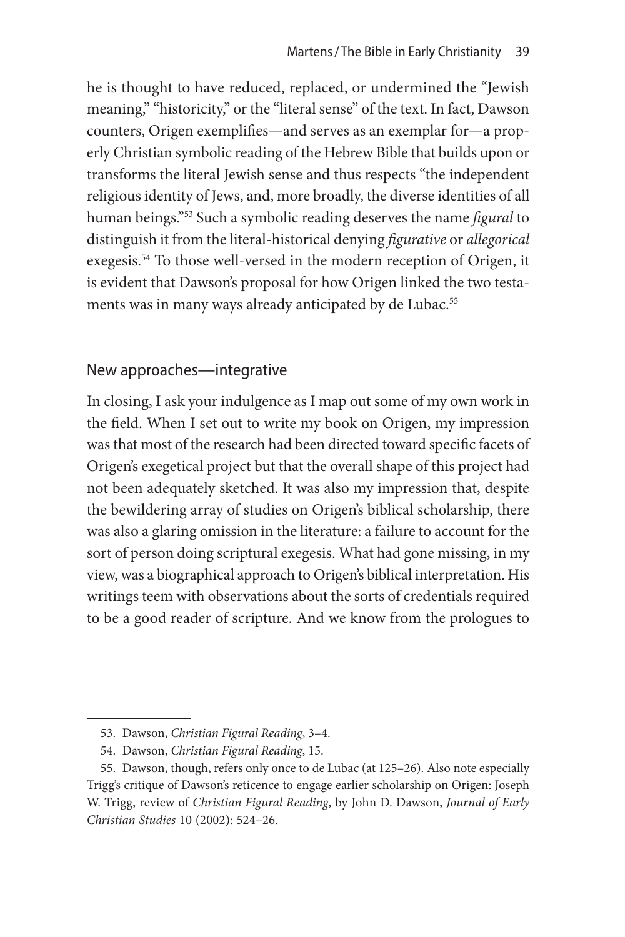he is thought to have reduced, replaced, or undermined the "Jewish meaning," "historicity," or the "literal sense" of the text. In fact, Dawson counters, Origen exemplifies—and serves as an exemplar for—a properly Christian symbolic reading of the Hebrew Bible that builds upon or transforms the literal Jewish sense and thus respects "the independent religious identity of Jews, and, more broadly, the diverse identities of all human beings."53 Such a symbolic reading deserves the name *figural* to distinguish it from the literal-historical denying *figurative* or *allegorical* exegesis.54 To those well-versed in the modern reception of Origen, it is evident that Dawson's proposal for how Origen linked the two testaments was in many ways already anticipated by de Lubac.<sup>55</sup>

#### New approaches—integrative

In closing, I ask your indulgence as I map out some of my own work in the field. When I set out to write my book on Origen, my impression was that most of the research had been directed toward specific facets of Origen's exegetical project but that the overall shape of this project had not been adequately sketched. It was also my impression that, despite the bewildering array of studies on Origen's biblical scholarship, there was also a glaring omission in the literature: a failure to account for the sort of person doing scriptural exegesis. What had gone missing, in my view, was a biographical approach to Origen's biblical interpretation. His writings teem with observations about the sorts of credentials required to be a good reader of scripture. And we know from the prologues to

<sup>53.</sup> Dawson, *Christian Figural Reading*, 3–4.

<sup>54.</sup> Dawson, *Christian Figural Reading*, 15.

<sup>55.</sup> Dawson, though, refers only once to de Lubac (at 125–26). Also note especially Trigg's critique of Dawson's reticence to engage earlier scholarship on Origen: Joseph W. Trigg, review of *Christian Figural Reading*, by John D. Dawson, *Journal of Early Christian Studies* 10 (2002): 524–26.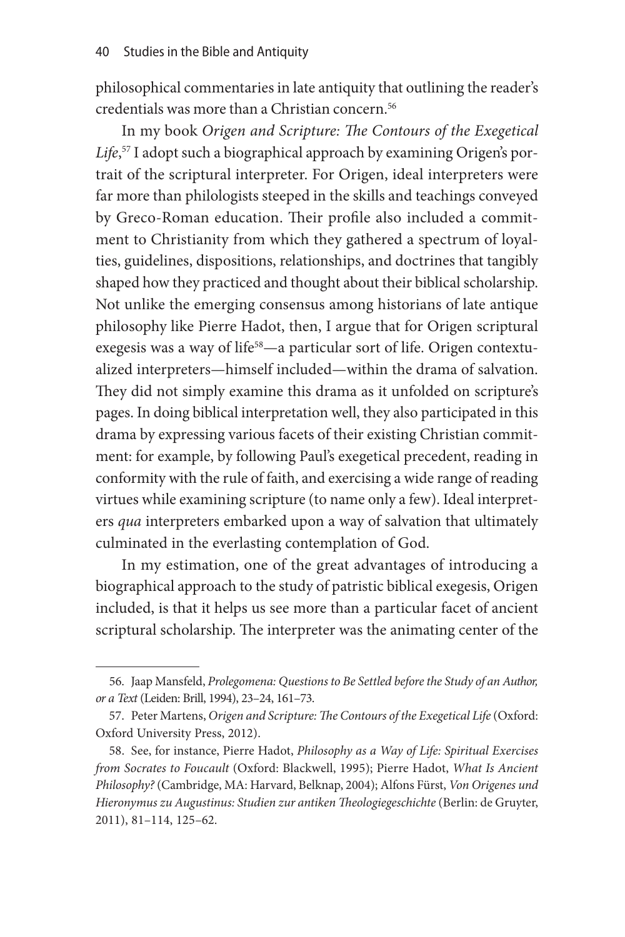philosophical commentaries in late antiquity that outlining the reader's credentials was more than a Christian concern.<sup>56</sup>

In my book *Origen and Scripture: The Contours of the Exegetical Life*, 57 I adopt such a biographical approach by examining Origen's portrait of the scriptural interpreter. For Origen, ideal interpreters were far more than philologists steeped in the skills and teachings conveyed by Greco-Roman education. Their profile also included a commitment to Christianity from which they gathered a spectrum of loyalties, guidelines, dispositions, relationships, and doctrines that tangibly shaped how they practiced and thought about their biblical scholarship. Not unlike the emerging consensus among historians of late antique philosophy like Pierre Hadot, then, I argue that for Origen scriptural exegesis was a way of life<sup>58</sup>—a particular sort of life. Origen contextualized interpreters—himself included—within the drama of salvation. They did not simply examine this drama as it unfolded on scripture's pages. In doing biblical interpretation well, they also participated in this drama by expressing various facets of their existing Christian commitment: for example, by following Paul's exegetical precedent, reading in conformity with the rule of faith, and exercising a wide range of reading virtues while examining scripture (to name only a few). Ideal interpreters *qua* interpreters embarked upon a way of salvation that ultimately culminated in the everlasting contemplation of God.

In my estimation, one of the great advantages of introducing a biographical approach to the study of patristic biblical exegesis, Origen included, is that it helps us see more than a particular facet of ancient scriptural scholarship. The interpreter was the animating center of the

<sup>56.</sup> Jaap Mansfeld, *Prolegomena: Questions to Be Settled before the Study of an Author, or a Text* (Leiden: Brill, 1994), 23–24, 161–73.

<sup>57.</sup> Peter Martens, *Origen and Scripture: The Contours of the Exegetical Life* (Oxford: Oxford University Press, 2012).

<sup>58.</sup> See, for instance, Pierre Hadot, *Philosophy as a Way of Life: Spiritual Exercises from Socrates to Foucault* (Oxford: Blackwell, 1995); Pierre Hadot, *What Is Ancient Philosophy?* (Cambridge, MA: Harvard, Belknap, 2004); Alfons Fürst, *Von Origenes und Hieronymus zu Augustinus: Studien zur antiken Theologiegeschichte* (Berlin: de Gruyter, 2011), 81–114, 125–62.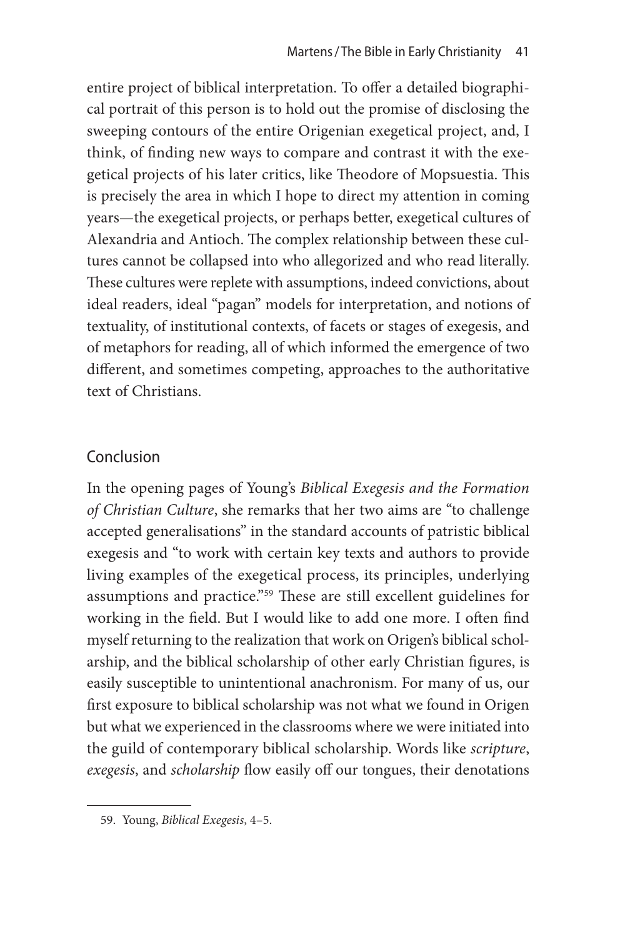entire project of biblical interpretation. To offer a detailed biographical portrait of this person is to hold out the promise of disclosing the sweeping contours of the entire Origenian exegetical project, and, I think, of finding new ways to compare and contrast it with the exegetical projects of his later critics, like Theodore of Mopsuestia. This is precisely the area in which I hope to direct my attention in coming years—the exegetical projects, or perhaps better, exegetical cultures of Alexandria and Antioch. The complex relationship between these cultures cannot be collapsed into who allegorized and who read literally. These cultures were replete with assumptions, indeed convictions, about ideal readers, ideal "pagan" models for interpretation, and notions of textuality, of institutional contexts, of facets or stages of exegesis, and of metaphors for reading, all of which informed the emergence of two different, and sometimes competing, approaches to the authoritative text of Christians.

# Conclusion

In the opening pages of Young's *Biblical Exegesis and the Formation of Christian Culture*, she remarks that her two aims are "to challenge accepted generalisations" in the standard accounts of patristic biblical exegesis and "to work with certain key texts and authors to provide living examples of the exegetical process, its principles, underlying assumptions and practice."59 These are still excellent guidelines for working in the field. But I would like to add one more. I often find myself returning to the realization that work on Origen's biblical scholarship, and the biblical scholarship of other early Christian figures, is easily susceptible to unintentional anachronism. For many of us, our first exposure to biblical scholarship was not what we found in Origen but what we experienced in the classrooms where we were initiated into the guild of contemporary biblical scholarship. Words like *scripture*, *exegesis*, and *scholarship* flow easily off our tongues, their denotations

<sup>59.</sup> Young, *Biblical Exegesis*, 4–5.